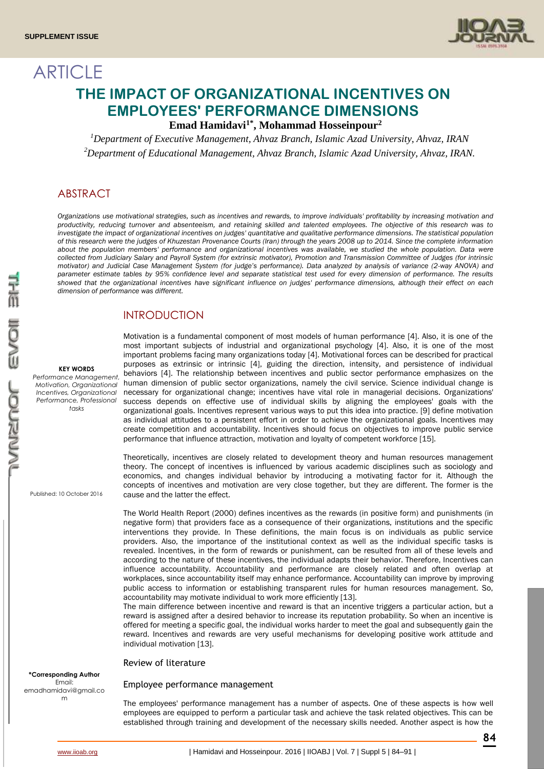**ARTICLE** 



# **THE IMPACT OF ORGANIZATIONAL INCENTIVES ON EMPLOYEES' PERFORMANCE DIMENSIONS**

**Emad Hamidavi1\* , Mohammad Hosseinpour<sup>2</sup>**

*<sup>1</sup>Department of Executive Management, Ahvaz Branch, Islamic Azad University, Ahvaz, IRAN <sup>2</sup>Department of Educational Management, Ahvaz Branch, Islamic Azad University, Ahvaz, IRAN.*

# ABSTRACT

*Organizations use motivational strategies, such as incentives and rewards, to improve individuals' profitability by increasing motivation and productivity, reducing turnover and absenteeism, and retaining skilled and talented employees. The objective of this research was to investigate the impact of organizational incentives on judges' quantitative and qualitative performance dimensions. The statistical population of this research were the judges of Khuzestan Provenance Courts (Iran) through the years 2008 up to 2014. Since the complete information about the population members' performance and organizational incentives was available, we studied the whole population. Data were collected from Judiciary Salary and Payroll System (for extrinsic motivator), Promotion and Transmission Committee of Judges (for intrinsic motivator) and Judicial Case Management System (for judge's performance). Data analyzed by analysis of variance (2-way ANOVA) and parameter estimate tables by 95% confidence level and separate statistical test used for every dimension of performance. The results showed that the organizational incentives have significant influence on judges' performance dimensions, although their effect on each dimension of performance was different.* 

# INTRODUCTION

#### **KEY WORDS**

*Performance Management, Motivation, Organizational Incentives, Organizational Performance, Professional tasks*

Published: 10 October 2016

#### **\*Corresponding Author** Email:

emadhamidavi@gmail.co m

Motivation is a fundamental component of most models of human performance [4]. Also, it is one of the most important subjects of industrial and organizational psychology [4]. Also, it is one of the most important problems facing many organizations today [4]. Motivational forces can be described for practical purposes as extrinsic or intrinsic [4], guiding the direction, intensity, and persistence of individual behaviors [4]. The relationship between incentives and public sector performance emphasizes on the human dimension of public sector organizations, namely the civil service. Science individual change is necessary for organizational change; incentives have vital role in managerial decisions. Organizations' success depends on effective use of individual skills by aligning the employees' goals with the organizational goals. Incentives represent various ways to put this idea into practice. [9] define motivation as individual attitudes to a persistent effort in order to achieve the organizational goals. Incentives may create competition and accountability. Incentives should focus on objectives to improve public service performance that influence attraction, motivation and loyalty of competent workforce [15].

Theoretically, incentives are closely related to development theory and human resources management theory. The concept of incentives is influenced by various academic disciplines such as sociology and economics, and changes individual behavior by introducing a motivating factor for it. Although the concepts of incentives and motivation are very close together, but they are different. The former is the cause and the latter the effect.

The World Health Report (2000) defines incentives as the rewards (in positive form) and punishments (in negative form) that providers face as a consequence of their organizations, institutions and the specific interventions they provide. In These definitions, the main focus is on individuals as public service providers. Also, the importance of the institutional context as well as the individual specific tasks is revealed. Incentives, in the form of rewards or punishment, can be resulted from all of these levels and according to the nature of these incentives, the individual adapts their behavior. Therefore, Incentives can influence accountability. Accountability and performance are closely related and often overlap at workplaces, since accountability itself may enhance performance. Accountability can improve by improving public access to information or establishing transparent rules for human resources management. So, accountability may motivate individual to work more efficiently [13].

The main difference between incentive and reward is that an incentive triggers a particular action, but a reward is assigned after a desired behavior to increase its reputation probability. So when an incentive is offered for meeting a specific goal, the individual works harder to meet the goal and subsequently gain the reward. Incentives and rewards are very useful mechanisms for developing positive work attitude and individual motivation [13].

Review of literature

### Employee performance management

The employees' performance management has a number of aspects. One of these aspects is how well employees are equipped to perform a particular task and achieve the task related objectives. This can be established through training and development of the necessary skills needed. Another aspect is how the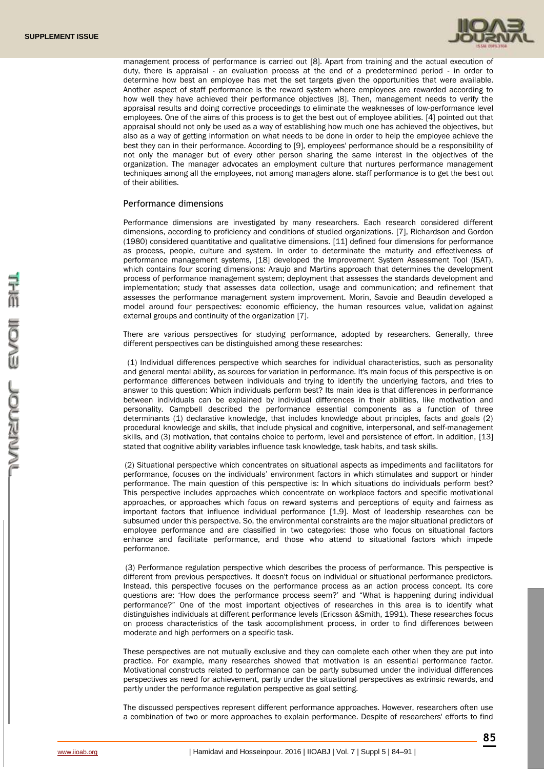

management process of performance is carried out [8]. Apart from training and the actual execution of duty, there is appraisal - an evaluation process at the end of a predetermined period - in order to determine how best an employee has met the set targets given the opportunities that were available. Another aspect of staff performance is the reward system where employees are rewarded according to how well they have achieved their performance objectives [8]. Then, management needs to verify the appraisal results and doing corrective proceedings to eliminate the weaknesses of low-performance level employees. One of the aims of this process is to get the best out of employee abilities. [4] pointed out that appraisal should not only be used as a way of establishing how much one has achieved the objectives, but also as a way of getting information on what needs to be done in order to help the employee achieve the best they can in their performance. According to [9], employees' performance should be a responsibility of not only the manager but of every other person sharing the same interest in the objectives of the organization. The manager advocates an employment culture that nurtures performance management techniques among all the employees, not among managers alone. staff performance is to get the best out of their abilities.

## Performance dimensions

Performance dimensions are investigated by many researchers. Each research considered different dimensions, according to proficiency and conditions of studied organizations. [7], Richardson and Gordon (1980) considered quantitative and qualitative dimensions. [11] defined four dimensions for performance as process, people, culture and system. In order to determinate the maturity and effectiveness of performance management systems, [18] developed the Improvement System Assessment Tool (ISAT), which contains four scoring dimensions: Araujo and Martins approach that determines the development process of performance management system; deployment that assesses the standards development and implementation; study that assesses data collection, usage and communication; and refinement that assesses the performance management system improvement. Morin, Savoie and Beaudin developed a model around four perspectives: economic efficiency, the human resources value, validation against external groups and continuity of the organization [7].

There are various perspectives for studying performance, adopted by researchers. Generally, three different perspectives can be distinguished among these researches:

(1) Individual differences perspective which searches for individual characteristics, such as personality and general mental ability, as sources for variation in performance. It's main focus of this perspective is on performance differences between individuals and trying to identify the underlying factors, and tries to answer to this question: Which individuals perform best? Its main idea is that differences in performance between individuals can be explained by individual differences in their abilities, like motivation and personality. Campbell described the performance essential components as a function of three determinants (1) declarative knowledge, that includes knowledge about principles, facts and goals (2) procedural knowledge and skills, that include physical and cognitive, interpersonal, and self-management skills, and (3) motivation, that contains choice to perform, level and persistence of effort. In addition, [13] stated that cognitive ability variables influence task knowledge, task habits, and task skills.

(2) Situational perspective which concentrates on situational aspects as impediments and facilitators for performance, focuses on the individuals' environment factors in which stimulates and support or hinder performance. The main question of this perspective is: In which situations do individuals perform best? This perspective includes approaches which concentrate on workplace factors and specific motivational approaches, or approaches which focus on reward systems and perceptions of equity and fairness as important factors that influence individual performance [1,9]. Most of leadership researches can be subsumed under this perspective. So, the environmental constraints are the major situational predictors of employee performance and are classified in two categories: those who focus on situational factors enhance and facilitate performance, and those who attend to situational factors which impede performance.

(3) Performance regulation perspective which describes the process of performance. This perspective is different from previous perspectives. It doesn't focus on individual or situational performance predictors. Instead, this perspective focuses on the performance process as an action process concept. Its core questions are: 'How does the performance process seem?' and "What is happening during individual performance?" One of the most important objectives of researches in this area is to identify what distinguishes individuals at different performance levels (Ericsson &Smith, 1991). These researches focus on process characteristics of the task accomplishment process, in order to find differences between moderate and high performers on a specific task.

These perspectives are not mutually exclusive and they can complete each other when they are put into practice. For example, many researches showed that motivation is an essential performance factor. Motivational constructs related to performance can be partly subsumed under the individual differences perspectives as need for achievement, partly under the situational perspectives as extrinsic rewards, and partly under the performance regulation perspective as goal setting.

The discussed perspectives represent different performance approaches. However, researchers often use a combination of two or more approaches to explain performance. Despite of researchers' efforts to find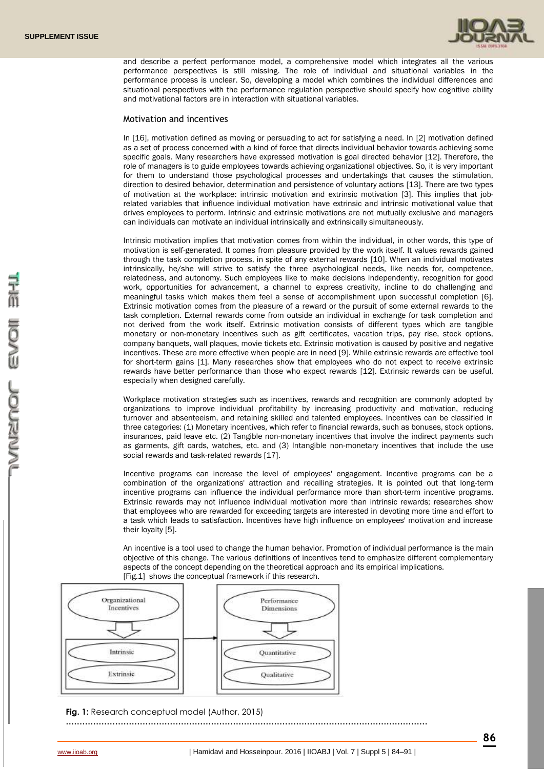

and describe a perfect performance model, a comprehensive model which integrates all the various performance perspectives is still missing. The role of individual and situational variables in the performance process is unclear. So, developing a model which combines the individual differences and situational perspectives with the performance regulation perspective should specify how cognitive ability and motivational factors are in interaction with situational variables.

## Motivation and incentives

In [16], motivation defined as moving or persuading to act for satisfying a need. In [2] motivation defined as a set of process concerned with a kind of force that directs individual behavior towards achieving some specific goals. Many researchers have expressed motivation is goal directed behavior [12]. Therefore, the role of managers is to guide employees towards achieving organizational objectives. So, it is very important for them to understand those psychological processes and undertakings that causes the stimulation, direction to desired behavior, determination and persistence of voluntary actions [13]. There are two types of motivation at the workplace: intrinsic motivation and extrinsic motivation [3]. This implies that jobrelated variables that influence individual motivation have extrinsic and intrinsic motivational value that drives employees to perform. Intrinsic and extrinsic motivations are not mutually exclusive and managers can individuals can motivate an individual intrinsically and extrinsically simultaneously.

Intrinsic motivation implies that motivation comes from within the individual, in other words, this type of motivation is self-generated. It comes from pleasure provided by the work itself. It values rewards gained through the task completion process, in spite of any external rewards [10]. When an individual motivates intrinsically, he/she will strive to satisfy the three psychological needs, like needs for, competence, relatedness, and autonomy. Such employees like to make decisions independently, recognition for good work, opportunities for advancement, a channel to express creativity, incline to do challenging and meaningful tasks which makes them feel a sense of accomplishment upon successful completion [6]. Extrinsic motivation comes from the pleasure of a reward or the pursuit of some external rewards to the task completion. External rewards come from outside an individual in exchange for task completion and not derived from the work itself. Extrinsic motivation consists of different types which are tangible monetary or non-monetary incentives such as gift certificates, vacation trips, pay rise, stock options, company banquets, wall plaques, movie tickets etc. Extrinsic motivation is caused by positive and negative incentives. These are more effective when people are in need [9]. While extrinsic rewards are effective tool for short-term gains [1]. Many researches show that employees who do not expect to receive extrinsic rewards have better performance than those who expect rewards [12]. Extrinsic rewards can be useful, especially when designed carefully.

Workplace motivation strategies such as incentives, rewards and recognition are commonly adopted by organizations to improve individual profitability by increasing productivity and motivation, reducing turnover and absenteeism, and retaining skilled and talented employees. Incentives can be classified in three categories: (1) Monetary incentives, which refer to financial rewards, such as bonuses, stock options, insurances, paid leave etc. (2) Tangible non-monetary incentives that involve the indirect payments such as garments, gift cards, watches, etc. and (3) Intangible non-monetary incentives that include the use social rewards and task-related rewards [17].

Incentive programs can increase the level of employees' engagement. Incentive programs can be a combination of the organizations' attraction and recalling strategies. It is pointed out that long-term incentive programs can influence the individual performance more than short-term incentive programs. Extrinsic rewards may not influence individual motivation more than intrinsic rewards; researches show that employees who are rewarded for exceeding targets are interested in devoting more time and effort to a task which leads to satisfaction. Incentives have high influence on employees' motivation and increase their loyalty [5].

An incentive is a tool used to change the human behavior. Promotion of individual performance is the main objective of this change. The various definitions of incentives tend to emphasize different complementary aspects of the concept depending on the theoretical approach and its empirical implications. [Fig.1] shows the conceptual framework if this research.



**Fig. 1:** Research conceptual model (Author, 2015)

**……………………………………………………………………………………………………………………**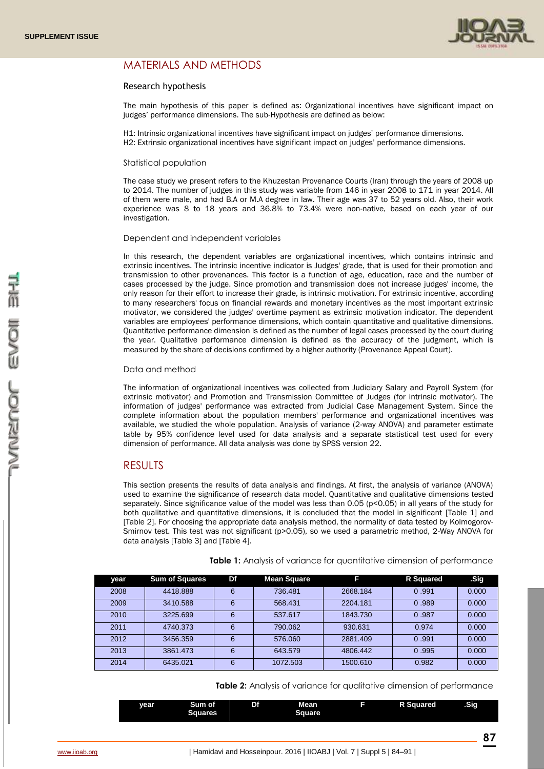

# MATERIALS AND METHODS

## Research hypothesis

The main hypothesis of this paper is defined as: Organizational incentives have significant impact on judges' performance dimensions. The sub-Hypothesis are defined as below:

H1: Intrinsic organizational incentives have significant impact on judges' performance dimensions. H2: Extrinsic organizational incentives have significant impact on judges' performance dimensions.

#### Statistical population

The case study we present refers to the Khuzestan Provenance Courts (Iran) through the years of 2008 up to 2014. The number of judges in this study was variable from 146 in year 2008 to 171 in year 2014. All of them were male, and had B.A or M.A degree in law. Their age was 37 to 52 years old. Also, their work experience was 8 to 18 years and 36.8% to 73.4% were non-native, based on each year of our investigation.

#### Dependent and independent variables

In this research, the dependent variables are organizational incentives, which contains intrinsic and extrinsic incentives. The intrinsic incentive indicator is Judges' grade, that is used for their promotion and transmission to other provenances. This factor is a function of age, education, race and the number of cases processed by the judge. Since promotion and transmission does not increase judges' income, the only reason for their effort to increase their grade, is intrinsic motivation. For extrinsic incentive, according to many researchers' focus on financial rewards and monetary incentives as the most important extrinsic motivator, we considered the judges' overtime payment as extrinsic motivation indicator. The dependent variables are employees' performance dimensions, which contain quantitative and qualitative dimensions. Quantitative performance dimension is defined as the number of legal cases processed by the court during the year. Qualitative performance dimension is defined as the accuracy of the judgment, which is measured by the share of decisions confirmed by a higher authority (Provenance Appeal Court).

#### Data and method

The information of organizational incentives was collected from Judiciary Salary and Payroll System (for extrinsic motivator) and Promotion and Transmission Committee of Judges (for intrinsic motivator). The information of judges' performance was extracted from Judicial Case Management System. Since the complete information about the population members' performance and organizational incentives was available, we studied the whole population. Analysis of variance (2-way ANOVA) and parameter estimate table by 95% confidence level used for data analysis and a separate statistical test used for every dimension of performance. All data analysis was done by SPSS version 22.

## RESULTS

This section presents the results of data analysis and findings. At first, the analysis of variance (ANOVA) used to examine the significance of research data model. Quantitative and qualitative dimensions tested separately. Since significance value of the model was less than 0.05 (p<0.05) in all years of the study for both qualitative and quantitative dimensions, it is concluded that the model in significant [Table 1] and [Table 2]. For choosing the appropriate data analysis method, the normality of data tested by Kolmogorov-Smirnov test. This test was not significant (p>0.05), so we used a parametric method, 2-Way ANOVA for data analysis [Table 3] and [Table 4].

| year | <b>Sum of Squares</b> | Df | <b>Mean Square</b> | F        | R Squared | .Sig  |
|------|-----------------------|----|--------------------|----------|-----------|-------|
| 2008 | 4418.888              | 6  | 736.481            | 2668.184 | 0.991     | 0.000 |
| 2009 | 3410.588              | 6  | 568.431            | 2204.181 | 0.989     | 0.000 |
| 2010 | 3225.699              | 6  | 537.617            | 1843.730 | 0.987     | 0.000 |
| 2011 | 4740.373              | 6  | 790.062            | 930.631  | 0.974     | 0.000 |
| 2012 | 3456.359              | 6  | 576.060            | 2881.409 | 0.991     | 0.000 |
| 2013 | 3861.473              | 6  | 643.579            | 4806.442 | 0.995     | 0.000 |
| 2014 | 6435.021              | 6  | 1072.503           | 1500.610 | 0.982     | 0.000 |

**Table 1:** Analysis of variance for quantitative dimension of performance

**Table 2:** Analysis of variance for qualitative dimension of performance

| vear | Sum of<br>Squares | Df | <b>Mean</b><br><b>Square</b> | <b>R</b> Squared | .Sig |
|------|-------------------|----|------------------------------|------------------|------|
|      |                   |    |                              |                  |      |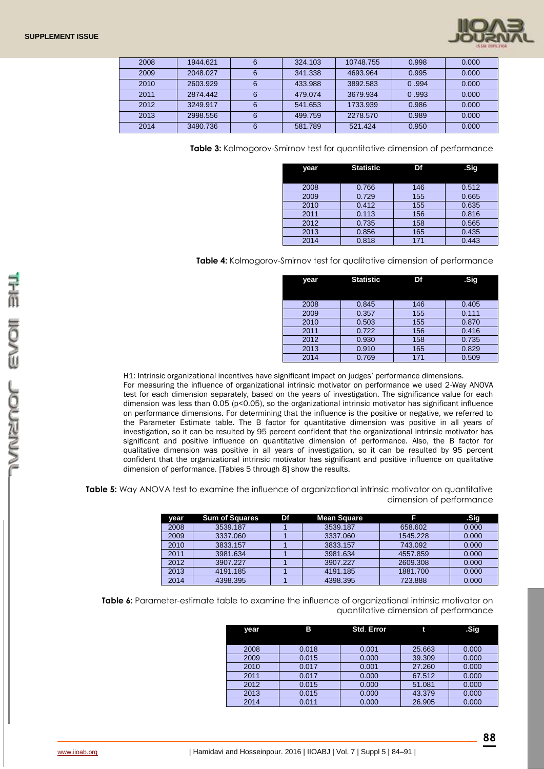| 2008 | 1944.621 | 6 | 324.103 | 10748.755 | 0.998 | 0.000 |
|------|----------|---|---------|-----------|-------|-------|
| 2009 | 2048.027 | 6 | 341.338 | 4693.964  | 0.995 | 0.000 |
| 2010 | 2603.929 | 6 | 433.988 | 3892.583  | 0.994 | 0.000 |
| 2011 | 2874.442 | 6 | 479.074 | 3679.934  | 0.993 | 0.000 |
| 2012 | 3249.917 | 6 | 541.653 | 1733.939  | 0.986 | 0.000 |
| 2013 | 2998.556 | 6 | 499.759 | 2278.570  | 0.989 | 0.000 |
| 2014 | 3490.736 | 6 | 581.789 | 521.424   | 0.950 | 0.000 |

**Table 3:** Kolmogorov-Smirnov test for quantitative dimension of performance

| year | <b>Statistic</b> | Df  | .Sig  |
|------|------------------|-----|-------|
|      |                  |     |       |
| 2008 | 0.766            | 146 | 0.512 |
| 2009 | 0.729            | 155 | 0.665 |
| 2010 | 0.412            | 155 | 0.635 |
| 2011 | 0.113            | 156 | 0.816 |
| 2012 | 0.735            | 158 | 0.565 |
| 2013 | 0.856            | 165 | 0.435 |
| 2014 | 0.818            | 171 | 0.443 |

**Table 4:** Kolmogorov-Smirnov test for qualitative dimension of performance

| year | <b>Statistic</b> | Df  | .Sig  |
|------|------------------|-----|-------|
|      |                  |     |       |
| 2008 | 0.845            | 146 | 0.405 |
| 2009 | 0.357            | 155 | 0.111 |
| 2010 | 0.503            | 155 | 0.870 |
| 2011 | 0.722            | 156 | 0.416 |
| 2012 | 0.930            | 158 | 0.735 |
| 2013 | 0.910            | 165 | 0.829 |
| 2014 | 0.769            | 171 | 0.509 |

H1: Intrinsic organizational incentives have significant impact on judges' performance dimensions.

For measuring the influence of organizational intrinsic motivator on performance we used 2-Way ANOVA test for each dimension separately, based on the years of investigation. The significance value for each dimension was less than 0.05 (p<0.05), so the organizational intrinsic motivator has significant influence on performance dimensions. For determining that the influence is the positive or negative, we referred to the Parameter Estimate table. The B factor for quantitative dimension was positive in all years of investigation, so it can be resulted by 95 percent confident that the organizational intrinsic motivator has significant and positive influence on quantitative dimension of performance. Also, the B factor for qualitative dimension was positive in all years of investigation, so it can be resulted by 95 percent confident that the organizational intrinsic motivator has significant and positive influence on qualitative dimension of performance. [Tables 5 through 8] show the results.

**Table 5:** Way ANOVA test to examine the influence of organizational intrinsic motivator on quantitative dimension of performance

| vear | <b>Sum of Squares</b> | Df | <b>Mean Square</b> | F        | .Sig  |
|------|-----------------------|----|--------------------|----------|-------|
| 2008 | 3539.187              |    | 3539.187           | 658,602  | 0.000 |
| 2009 | 3337.060              |    | 3337.060           | 1545.228 | 0.000 |
| 2010 | 3833.157              |    | 3833.157           | 743.092  | 0.000 |
| 2011 | 3981.634              |    | 3981.634           | 4557.859 | 0.000 |
| 2012 | 3907.227              |    | 3907.227           | 2609.308 | 0.000 |
| 2013 | 4191.185              |    | 4191.185           | 1881.700 | 0.000 |
| 2014 | 4398.395              |    | 4398.395           | 723.888  | 0.000 |

**Table 6:** Parameter-estimate table to examine the influence of organizational intrinsic motivator on quantitative dimension of performance

| year | в     | <b>Std. Error</b> | t      | .Sig  |
|------|-------|-------------------|--------|-------|
|      |       |                   |        |       |
| 2008 | 0.018 | 0.001             | 25.663 | 0.000 |
| 2009 | 0.015 | 0.000             | 39,309 | 0.000 |
| 2010 | 0.017 | 0.001             | 27.260 | 0.000 |
| 2011 | 0.017 | 0.000             | 67.512 | 0.000 |
| 2012 | 0.015 | 0.000             | 51.081 | 0.000 |
| 2013 | 0.015 | 0.000             | 43.379 | 0.000 |
| 2014 | 0.011 | 0.000             | 26.905 | 0.000 |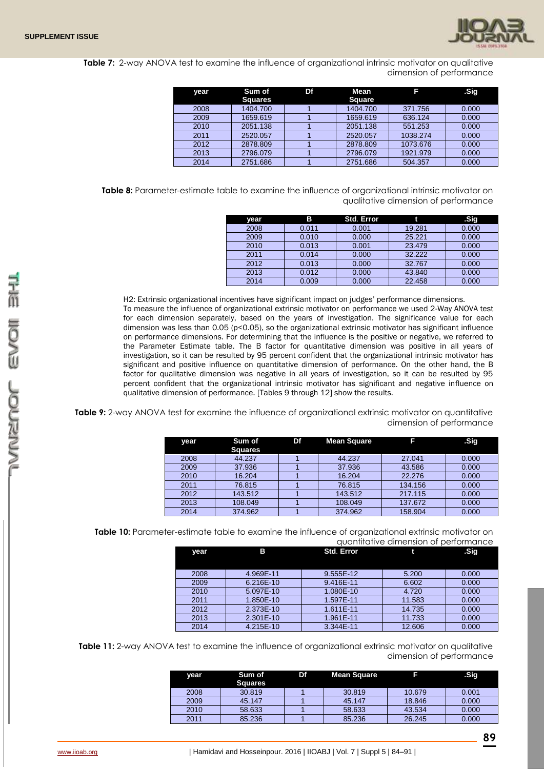

**Table 7:** 2-way ANOVA test to examine the influence of organizational intrinsic motivator on qualitative dimension of performance

| year | Sum of<br><b>Squares</b> | Df | Mean<br><b>Square</b> | ß        | .Sig  |
|------|--------------------------|----|-----------------------|----------|-------|
| 2008 | 1404.700                 |    | 1404.700              | 371.756  | 0.000 |
| 2009 | 1659.619                 |    | 1659.619              | 636.124  | 0.000 |
| 2010 | 2051.138                 |    | 2051.138              | 551.253  | 0.000 |
| 2011 | 2520.057                 |    | 2520.057              | 1038.274 | 0.000 |
| 2012 | 2878.809                 |    | 2878.809              | 1073.676 | 0.000 |
| 2013 | 2796.079                 |    | 2796.079              | 1921.979 | 0.000 |
| 2014 | 2751.686                 |    | 2751.686              | 504.357  | 0.000 |

**Table 8:** Parameter-estimate table to examine the influence of organizational intrinsic motivator on qualitative dimension of performance

| year | в     | <b>Std. Error</b> | t      | .Sig  |
|------|-------|-------------------|--------|-------|
| 2008 | 0.011 | 0.001             | 19.281 | 0.000 |
| 2009 | 0.010 | 0.000             | 25.221 | 0.000 |
| 2010 | 0.013 | 0.001             | 23.479 | 0.000 |
| 2011 | 0.014 | 0.000             | 32.222 | 0.000 |
| 2012 | 0.013 | 0.000             | 32.767 | 0.000 |
| 2013 | 0.012 | 0.000             | 43.840 | 0.000 |
| 2014 | 0.009 | 0.000             | 22.458 | 0.000 |

H2: Extrinsic organizational incentives have significant impact on judges' performance dimensions. To measure the influence of organizational extrinsic motivator on performance we used 2-Way ANOVA test for each dimension separately, based on the years of investigation. The significance value for each dimension was less than 0.05 ( $p$ <0.05), so the organizational extrinsic motivator has significant influence on performance dimensions. For determining that the influence is the positive or negative, we referred to the Parameter Estimate table. The B factor for quantitative dimension was positive in all years of investigation, so it can be resulted by 95 percent confident that the organizational intrinsic motivator has significant and positive influence on quantitative dimension of performance. On the other hand, the B factor for qualitative dimension was negative in all years of investigation, so it can be resulted by 95 percent confident that the organizational intrinsic motivator has significant and negative influence on qualitative dimension of performance. [Tables 9 through 12] show the results.

**Table 9:** 2-way ANOVA test for examine the influence of organizational extrinsic motivator on quantitative dimension of performance

| year | Sum of<br><b>Squares</b> | Df | <b>Mean Square</b> |         | .Sig  |  |
|------|--------------------------|----|--------------------|---------|-------|--|
| 2008 | 44.237                   |    | 44.237             | 27.041  | 0.000 |  |
| 2009 | 37.936                   |    | 37.936             | 43.586  | 0.000 |  |
| 2010 | 16.204                   |    | 16.204             | 22.276  | 0.000 |  |
| 2011 | 76.815                   |    | 76.815             | 134.156 | 0.000 |  |
| 2012 | 143.512                  |    | 143.512            | 217.115 | 0.000 |  |
| 2013 | 108.049                  |    | 108.049            | 137.672 | 0.000 |  |
| 2014 | 374.962                  |    | 374.962            | 158.904 | 0.000 |  |

**Table 10:** Parameter-estimate table to examine the influence of organizational extrinsic motivator on quantitative dimension of performance

| year | в         | <b>Std. Error</b> |        | .Sig  |
|------|-----------|-------------------|--------|-------|
|      |           |                   |        |       |
| 2008 | 4.969E-11 | 9.555E-12         | 5.200  | 0.000 |
| 2009 | 6.216E-10 | 9.416E-11         | 6.602  | 0.000 |
| 2010 | 5.097E-10 | 1.080E-10         | 4.720  | 0.000 |
| 2011 | 1.850E-10 | 1.597E-11         | 11.583 | 0.000 |
| 2012 | 2.373E-10 | 1.611E-11         | 14.735 | 0.000 |
| 2013 | 2.301E-10 | 1.961E-11         | 11.733 | 0.000 |
| 2014 | 4.215E-10 | 3.344E-11         | 12.606 | 0.000 |

**Table 11:** 2-way ANOVA test to examine the influence of organizational extrinsic motivator on qualitative dimension of performance

| vear | Sum of<br><b>Squares</b> | Df - | <b>Mean Square</b> |        | .Sig  |
|------|--------------------------|------|--------------------|--------|-------|
| 2008 | 30.819                   |      | 30.819             | 10.679 | 0.001 |
| 2009 | 45.147                   |      | 45.147             | 18.846 | 0.000 |
| 2010 | 58.633                   |      | 58.633             | 43.534 | 0.000 |
| 2011 | 85.236                   |      | 85.236             | 26.245 | 0.000 |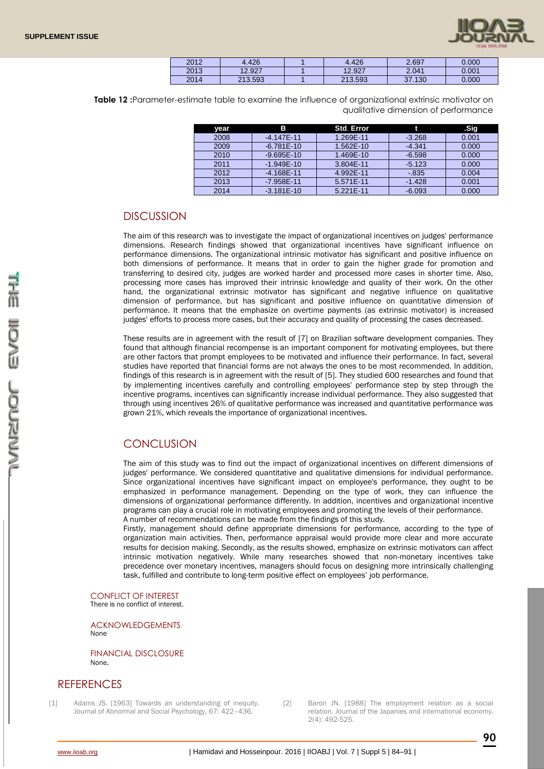

| 2012 | .426    | .426    | 2.697            | 0.000 |
|------|---------|---------|------------------|-------|
| 2013 | 12.927  | 12.927  | 2.041            | 0.001 |
| 2014 | 213.593 | 213.593 | .130<br>ົາ<br>J1 | 0.000 |

**Table 12 :**Parameter-estimate table to examine the influence of organizational extrinsic motivator on qualitative dimension of performance

| year | в              | Std. Error |          | .Sig  |
|------|----------------|------------|----------|-------|
| 2008 | $-4.147E - 11$ | 1.269E-11  | $-3.268$ | 0.001 |
| 2009 | $-6.781E-10$   | 1.562E-10  | $-4.341$ | 0.000 |
| 2010 | $-9.695E - 10$ | 1.469E-10  | $-6.598$ | 0.000 |
| 2011 | $-1.949E - 10$ | 3.804E-11  | $-5.123$ | 0.000 |
| 2012 | $-4.168E - 11$ | 4.992E-11  | $-0.835$ | 0.004 |
| 2013 | $-7.958E - 11$ | 5.571E-11  | $-1.428$ | 0.001 |
| 2014 | $-3.181E - 10$ | 5.221E-11  | $-6.093$ | 0.000 |

## **DISCUSSION**

The aim of this research was to investigate the impact of organizational incentives on judges' performance dimensions. Research findings showed that organizational incentives have significant influence on performance dimensions. The organizational intrinsic motivator has significant and positive influence on both dimensions of performance. It means that in order to gain the higher grade for promotion and transferring to desired city, judges are worked harder and processed more cases in shorter time. Also, processing more cases has improved their intrinsic knowledge and quality of their work. On the other hand, the organizational extrinsic motivator has significant and negative influence on qualitative dimension of performance, but has significant and positive influence on quantitative dimension of performance. It means that the emphasize on overtime payments (as extrinsic motivator) is increased judges' efforts to process more cases, but their accuracy and quality of processing the cases decreased.

These results are in agreement with the result of [7] on Brazilian software development companies. They found that although financial recompense is an important component for motivating employees, but there are other factors that prompt employees to be motivated and influence their performance. In fact, several studies have reported that financial forms are not always the ones to be most recommended. In addition, findings of this research is in agreement with the result of [5]. They studied 600 researches and found that by implementing incentives carefully and controlling employees' performance step by step through the incentive programs, incentives can significantly increase individual performance. They also suggested that through using incentives 26% of qualitative performance was increased and quantitative performance was grown 21%, which reveals the importance of organizational incentives.

# **CONCLUSION**

The aim of this study was to find out the impact of organizational incentives on different dimensions of judges' performance. We considered quantitative and qualitative dimensions for individual performance. Since organizational incentives have significant impact on employee's performance, they ought to be emphasized in performance management. Depending on the type of work, they can influence the dimensions of organizational performance differently. In addition, incentives and organizational incentive programs can play a crucial role in motivating employees and promoting the levels of their performance. A number of recommendations can be made from the findings of this study.

Firstly, management should define appropriate dimensions for performance, according to the type of organization main activities. Then, performance appraisal would provide more clear and more accurate results for decision making. Secondly, as the results showed, emphasize on extrinsic motivators can affect intrinsic motivation negatively. While many researches showed that non-monetary incentives take precedence over monetary incentives, managers should focus on designing more intrinsically challenging task, fulfilled and contribute to long-term positive effect on employees' job performance.

CONFLICT OF INTEREST There is no conflict of interest.

ACKNOWLEDGEMENTS None

FINANCIAL DISCLOSURE None.

## **REFERENCES**

- [1] Adams JS. [1963] Towards an understanding of inequity. Journal of Abnormal and Social Psychology, 67: 422–436.
- [2] Baron JN. [1988] The employment relation as a social relation. Journal of the Japanies and international economy. 2(4): 492-525.